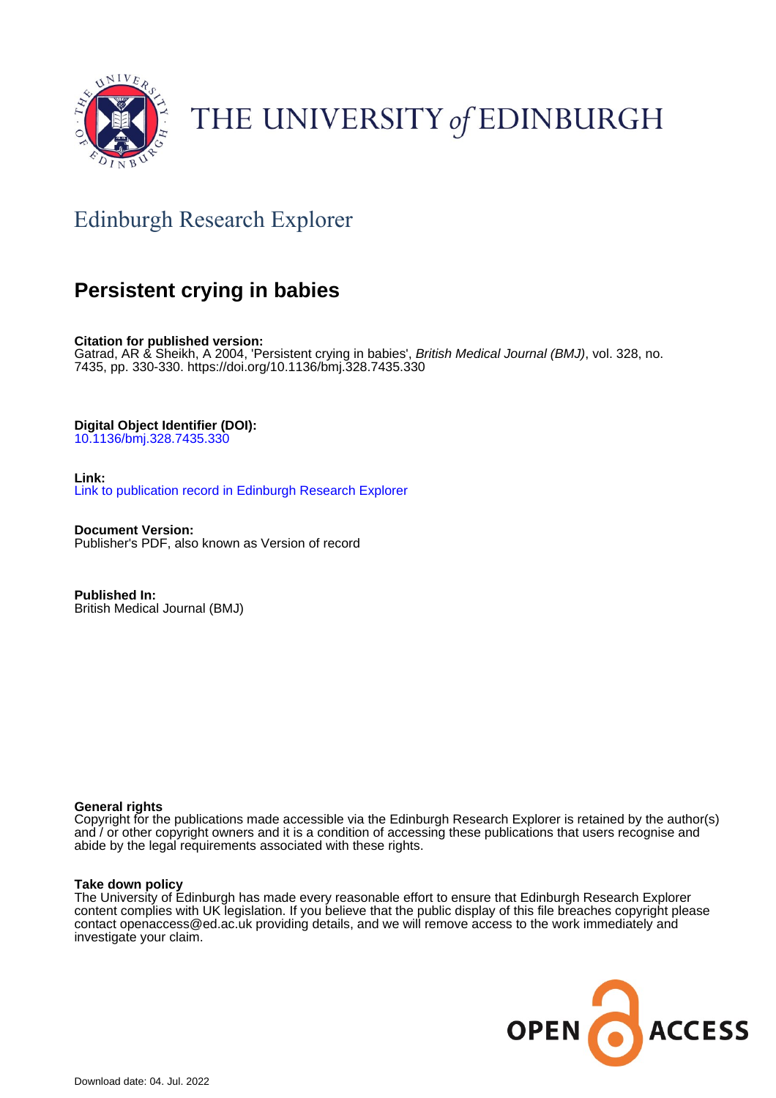

# THE UNIVERSITY of EDINBURGH

## Edinburgh Research Explorer

### **Persistent crying in babies**

**Citation for published version:** Gatrad, AR & Sheikh, A 2004, 'Persistent crying in babies', British Medical Journal (BMJ), vol. 328, no. 7435, pp. 330-330. <https://doi.org/10.1136/bmj.328.7435.330>

**Digital Object Identifier (DOI):**

[10.1136/bmj.328.7435.330](https://doi.org/10.1136/bmj.328.7435.330)

**Link:** [Link to publication record in Edinburgh Research Explorer](https://www.research.ed.ac.uk/en/publications/13544d8f-0195-4e04-9039-247a88ad8314)

**Document Version:** Publisher's PDF, also known as Version of record

**Published In:** British Medical Journal (BMJ)

### **General rights**

Copyright for the publications made accessible via the Edinburgh Research Explorer is retained by the author(s) and / or other copyright owners and it is a condition of accessing these publications that users recognise and abide by the legal requirements associated with these rights.

### **Take down policy**

The University of Edinburgh has made every reasonable effort to ensure that Edinburgh Research Explorer content complies with UK legislation. If you believe that the public display of this file breaches copyright please contact openaccess@ed.ac.uk providing details, and we will remove access to the work immediately and investigate your claim.